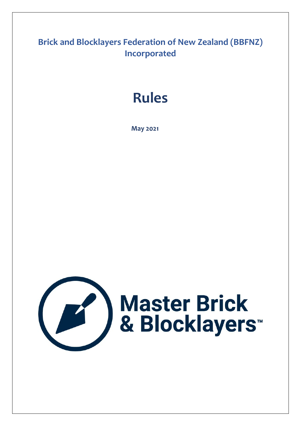# **Brick and Blocklayers Federation of New Zealand (BBFNZ) Incorporated**

# **Rules**

 **May 2021**

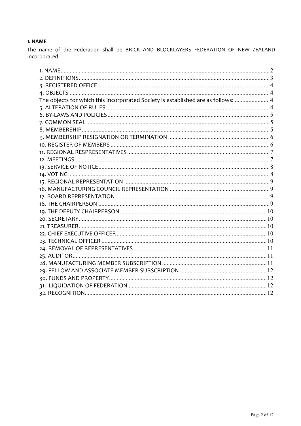# 1. NAME

The name of the Federation shall be BRICK AND BLOCKLAYERS FEDERATION OF NEW ZEALAND Incorporated

| The objects for which this Incorporated Society is established are as follows:  4 |  |
|-----------------------------------------------------------------------------------|--|
|                                                                                   |  |
|                                                                                   |  |
|                                                                                   |  |
|                                                                                   |  |
|                                                                                   |  |
|                                                                                   |  |
|                                                                                   |  |
|                                                                                   |  |
|                                                                                   |  |
|                                                                                   |  |
|                                                                                   |  |
|                                                                                   |  |
|                                                                                   |  |
|                                                                                   |  |
|                                                                                   |  |
|                                                                                   |  |
|                                                                                   |  |
|                                                                                   |  |
|                                                                                   |  |
|                                                                                   |  |
|                                                                                   |  |
|                                                                                   |  |
|                                                                                   |  |
|                                                                                   |  |
|                                                                                   |  |
|                                                                                   |  |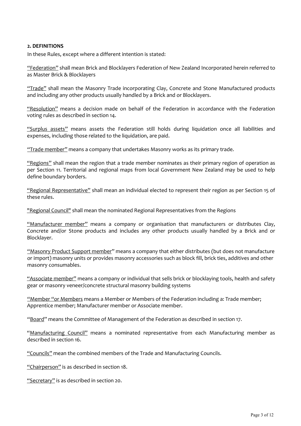# **2. DEFINITIONS**

In these Rules, except where a different intention is stated:

"Federation" shall mean Brick and Blocklayers Federation of New Zealand Incorporated herein referred to as Master Brick & Blocklayers

"Trade" shall mean the Masonry Trade incorporating Clay, Concrete and Stone Manufactured products and including any other products usually handled by a Brick and or Blocklayers.

"Resolution" means a decision made on behalf of the Federation in accordance with the Federation voting rules as described in section 14.

"Surplus assets" means assets the Federation still holds during liquidation once all liabilities and expenses, including those related to the liquidation, are paid.

"Trade member" means a company that undertakes Masonry works as its primary trade.

"Regions" shall mean the region that a trade member nominates as their primary region of operation as per Section 11. Territorial and regional maps from local Government New Zealand may be used to help define boundary borders.

"Regional Representative" shall mean an individual elected to represent their region as per Section 15 of these rules.

"Regional Council" shall mean the nominated Regional Representatives from the Regions

"Manufacturer member" means a company or organisation that manufacturers or distributes Clay, Concrete and/or Stone products and includes any other products usually handled by a Brick and or Blocklayer.

"Masonry Product Support member" means a company that either distributes (but does not manufacture or import) masonry units or provides masonry accessories such as block fill, brick ties, additives and other masonry consumables.

"Associate member" means a company or individual that sells brick or blocklaying tools, health and safety gear or masonry veneer/concrete structural masonry building systems

"Member "or Members means a Member or Members of the Federation including a: Trade member; Apprentice member; Manufacturer member or Associate member.

"Board" means the Committee of Management of the Federation as described in section 17.

"Manufacturing Council" means a nominated representative from each Manufacturing member as described in section 16.

"Councils" mean the combined members of the Trade and Manufacturing Councils.

"Chairperson" is as described in section 18.

"Secretary" is as described in section 20.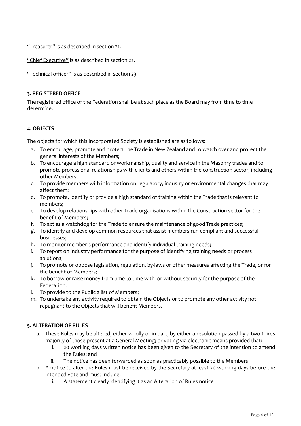"Treasurer" is as described in section 21.

"Chief Executive" is as described in section 22.

"Technical officer" is as described in section 23.

# **3. REGISTERED OFFICE**

The registered office of the Federation shall be at such place as the Board may from time to time determine.

# **4. OBJECTS**

The objects for which this Incorporated Society is established are as follows:

- a. To encourage, promote and protect the Trade in New Zealand and to watch over and protect the general interests of the Members;
- b. To encourage a high standard of workmanship, quality and service in the Masonry trades and to promote professional relationships with clients and others within the construction sector, including other Members;
- c. To provide members with information on regulatory, industry or environmental changes that may affect them;
- d. To promote, identify or provide a high standard of training within the Trade that is relevant to members;
- e. To develop relationships with other Trade organisations within the Construction sector for the benefit of Members;
- f. To act as a watchdog for the Trade to ensure the maintenance of good Trade practices;
- g. To identify and develop common resources that assist members run compliant and successful businesses;
- h. To monitor member's performance and identify individual training needs;
- i. To report on industry performance for the purpose of identifying training needs or process solutions;
- j. To promote or oppose legislation, regulation, by-laws or other measures affecting the Trade, or for the benefit of Members;
- k. To borrow or raise money from time to time with or without security for the purpose of the Federation;
- l. To provide to the Public a list of Members;
- m. To undertake any activity required to obtain the Objects or to promote any other activity not repugnant to the Objects that will benefit Members.

# **5. ALTERATION OF RULES**

- a. These Rules may be altered, either wholly or in part, by either a resolution passed by a two-thirds majority of those present at a General Meeting; or voting via electronic means provided that:
	- i. 20 working days written notice has been given to the Secretary of the intention to amend the Rules; and
	- ii. The notice has been forwarded as soon as practicably possible to the Members
- b. A notice to alter the Rules must be received by the Secretary at least 20 working days before the intended vote and must include:
	- i. A statement clearly identifying it as an Alteration of Rules notice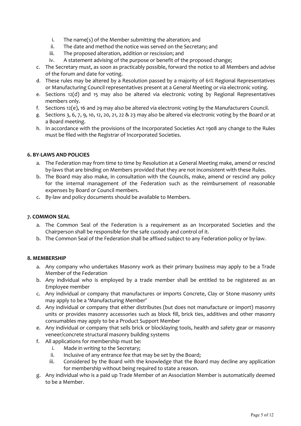- i. The name(s) of the Member submitting the alteration; and
- ii. The date and method the notice was served on the Secretary; and
- iii. The proposed alteration, addition or rescission; and
- iv. A statement advising of the purpose or benefit of the proposed change;
- c. The Secretary must, as soon as practicably possible, forward the notice to all Members and advise of the forum and date for voting.
- d. These rules may be altered by a Resolution passed by a majority of 61% Regional Representatives or Manufacturing Council representatives present at a General Meeting or via electronic voting.
- e. Sections 12(d) and 15 may also be altered via electronic voting by Regional Representatives members only.
- f. Sections 12(e), 16 and 29 may also be altered via electronic voting by the Manufacturers Council.
- g. Sections 3, 6, 7, 9, 10, 12, 20, 21, 22 & 23 may also be altered via electronic voting by the Board or at a Board meeting.
- h. In accordance with the provisions of the Incorporated Societies Act 1908 any change to the Rules must be filed with the Registrar of Incorporated Societies.

# **6. BY-LAWS AND POLICIES**

- a. The Federation may from time to time by Resolution at a General Meeting make, amend or rescind by-laws that are binding on Members provided that they are not inconsistent with these Rules.
- b. The Board may also make, in consultation with the Councils, make, amend or rescind any policy for the internal management of the Federation such as the reimbursement of reasonable expenses by Board or Council members.
- c. By-law and policy documents should be available to Members.

# **7. COMMON SEAL**

- a. The Common Seal of the Federation is a requirement as an Incorporated Societies and the Chairperson shall be responsible for the safe custody and control of it.
- b. The Common Seal of the Federation shall be affixed subject to any Federation policy or by-law.

# **8. MEMBERSHIP**

- a. Any company who undertakes Masonry work as their primary business may apply to be a Trade Member of the Federation
- b. Any individual who is employed by a trade member shall be entitled to be registered as an Employee member
- c. Any individual or company that manufactures or imports Concrete, Clay or Stone masonry units may apply to be a 'Manufacturing Member'
- d. Any individual or company that either distributes (but does not manufacture or import) masonry units or provides masonry accessories such as block fill, brick ties, additives and other masonry consumables may apply to be a Product Support Member
- e. Any individual or company that sells brick or blocklaying tools, health and safety gear or masonry veneer/concrete structural masonry building systems
- f. All applications for membership must be:
	- i. Made in writing to the Secretary;
	- ii. Inclusive of any entrance fee that may be set by the Board;
	- iii. Considered by the Board with the knowledge that the Board may decline any application for membership without being required to state a reason.
- g. Any individual who is a paid up Trade Member of an Association Member is automatically deemed to be a Member.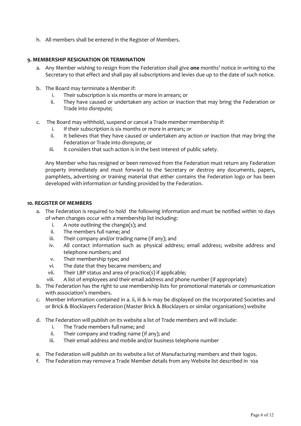h. All members shall be entered in the Register of Members.

# **9. MEMBERSHIP RESIGNATION OR TERMINATION**

- a. Any Member wishing to resign from the Federation shall give **one** months' notice in writing to the Secretary to that effect and shall pay all subscriptions and levies due up to the date of such notice.
- b. The Board may terminate a Member if:
	- i. Their subscription is six months or more in arrears; or
	- ii. They have caused or undertaken any action or inaction that may bring the Federation or Trade into disrepute;
- c. The Board may withhold, suspend or cancel a Trade member membership if:
	- i. If their subscription is six months or more in arrears; or
	- ii. It believes that they have caused or undertaken any action or inaction that may bring the Federation or Trade into disrepute; or
	- iii. It considers that such action is in the best interest of public safety.

Any Member who has resigned or been removed from the Federation must return any Federation property immediately and must forward to the Secretary or destroy any documents, papers, pamphlets, advertising or training material that either contains the Federation logo or has been developed with information or funding provided by the Federation.

## **10. REGISTER OF MEMBERS**

- a. The Federation is required to hold the following information and must be notified within 10 days of when changes occur with a membership list including:
	- i. A note outlining the change(s); and
	- ii. The members full name; and
	- iii. Their company and/or trading name (if any); and
	- iv. All contact information such as physical address; email address; website address and telephone numbers; and
	- v. Their membership type; and
	- vi. The date that they became members; and
	- vii. Their LBP status and area of practice(s) if applicable;
	- viii. A list of employees and their email address and phone number (if appropriate)
- b. The Federation has the right to use membership lists for promotional materials or communication with association's members.
- c. Member information contained in a. ii, iii & iv may be displayed on the Incorporated Societies and or Brick & Blocklayers Federation (Master Brick & Blocklayers or similar organisations) website
- d. The Federation will publish on its website a list of Trade members and will include:
	- i. The Trade members full name; and
	- ii. Their company and trading name (if any); and
	- iii. Their email address and mobile and/or business telephone number
- e. The Federation will publish on its website a list of Manufacturing members and their logos.
- f. The Federation may remove a Trade Member details from any Website list described in 10a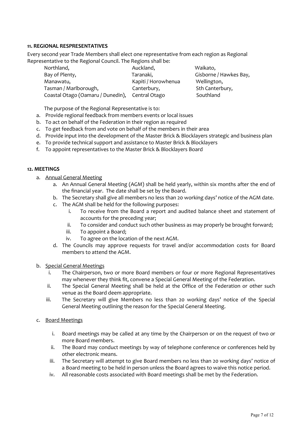# **11. REGIONAL RESPRESENTATIVES**

Every second year Trade Members shall elect one representative from each region as Regional Representative to the Regional Council. The Regions shall be:

| Northland,                                      | Auckland,           | Waikato,               |
|-------------------------------------------------|---------------------|------------------------|
| Bay of Plenty,                                  | Taranaki,           | Gisborne / Hawkes Bay, |
| Manawatu,                                       | Kapiti / Horowhenua | Wellington,            |
| Tasman / Marlborough,                           | Canterbury,         | Sth Canterbury,        |
| Coastal Otago (Oamaru / Dunedin), Central Otago |                     | Southland              |
|                                                 |                     |                        |

The purpose of the Regional Representative is to:

- a. Provide regional feedback from members events or local issues
- b. To act on behalf of the Federation in their region as required
- c. To get feedback from and vote on behalf of the members in their area
- d. Provide input into the development of the Master Brick & Blocklayers strategic and business plan
- e. To provide technical support and assistance to Master Brick & Blocklayers
- f. To appoint representatives to the Master Brick & Blocklayers Board

#### **12. MEETINGS**

- a. Annual General Meeting
	- a. An Annual General Meeting (AGM) shall be held yearly, within six months after the end of the financial year. The date shall be set by the Board.
	- b. The Secretary shall give all members no less than 20 working days' notice of the AGM date.
	- c. The AGM shall be held for the following purposes:
		- i. To receive from the Board a report and audited balance sheet and statement of accounts for the preceding year;
		- ii. To consider and conduct such other business as may properly be brought forward;
		- iii. To appoint a Board;
		- iv. To agree on the location of the next AGM.
	- d. The Councils may approve requests for travel and/or accommodation costs for Board members to attend the AGM.

#### b. Special General Meetings

- i. The Chairperson, two or more Board members or four or more Regional Representatives may whenever they think fit, convene a Special General Meeting of the Federation.
- ii. The Special General Meeting shall be held at the Office of the Federation or other such venue as the Board deem appropriate.
- iii. The Secretary will give Members no less than 20 working days' notice of the Special General Meeting outlining the reason for the Special General Meeting.

## c. Board Meetings

- i. Board meetings may be called at any time by the Chairperson or on the request of two or more Board members.
- ii. The Board may conduct meetings by way of telephone conference or conferences held by other electronic means.
- iii. The Secretary will attempt to give Board members no less than 20 working days' notice of a Board meeting to be held in person unless the Board agrees to waive this notice period.
- iv. All reasonable costs associated with Board meetings shall be met by the Federation.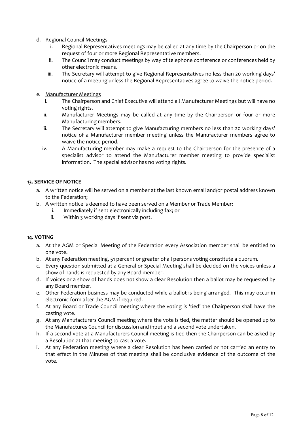# d. Regional Council Meetings

- i. Regional Representatives meetings may be called at any time by the Chairperson or on the request of four or more Regional Representative members.
- ii. The Council may conduct meetings by way of telephone conference or conferences held by other electronic means.
- iii. The Secretary will attempt to give Regional Representatives no less than 20 working days' notice of a meeting unless the Regional Representatives agree to waive the notice period.
- e. Manufacturer Meetings
	- i. The Chairperson and Chief Executive will attend all Manufacturer Meetings but will have no voting rights.
	- ii. Manufacturer Meetings may be called at any time by the Chairperson or four or more Manufacturing members.
	- iii. The Secretary will attempt to give Manufacturing members no less than 20 working days' notice of a Manufacturer member meeting unless the Manufacturer members agree to waive the notice period.
	- iv. A Manufacturing member may make a request to the Chairperson for the presence of a specialist advisor to attend the Manufacturer member meeting to provide specialist information. The special advisor has no voting rights.

# **13. SERVICE OF NOTICE**

- a. A written notice will be served on a member at the last known email and/or postal address known to the Federation;
- b. A written notice is deemed to have been served on a Member or Trade Member:
	- i. Immediately if sent electronically including fax; or
		- ii. Within 3 working days if sent via post.

#### **14. VOTING**

- a. At the AGM or Special Meeting of the Federation every Association member shall be entitled to one vote.
- b. At any Federation meeting, 51 percent or greater of all persons voting constitute a quorum**.**
- c. Every question submitted at a General or Special Meeting shall be decided on the voices unless a show of hands is requested by any Board member.
- d. If voices or a show of hands does not show a clear Resolution then a ballot may be requested by any Board member.
- e. Other Federation business may be conducted while a ballot is being arranged. This may occur in electronic form after the AGM if required.
- f. At any Board or Trade Council meeting where the voting is 'tied' the Chairperson shall have the casting vote.
- g. At any Manufacturers Council meeting where the vote is tied, the matter should be opened up to the Manufactures Council for discussion and input and a second vote undertaken.
- h. If a second vote at a Manufacturers Council meeting is tied then the Chairperson can be asked by a Resolution at that meeting to cast a vote.
- i. At any Federation meeting where a clear Resolution has been carried or not carried an entry to that effect in the Minutes of that meeting shall be conclusive evidence of the outcome of the vote.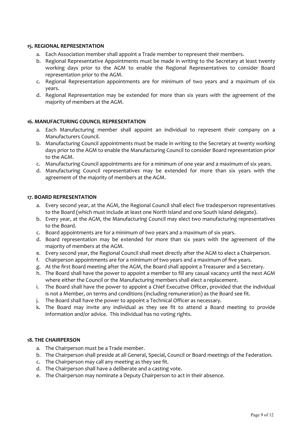# **15. REGIONAL REPRESENTATION**

- a. Each Association member shall appoint a Trade member to represent their members.
- b. Regional Representative Appointments must be made in writing to the Secretary at least twenty working days prior to the AGM to enable the Regional Representatives to consider Board representation prior to the AGM.
- c. Regional Representation appointments are for minimum of two years and a maximum of six years.
- d. Regional Representation may be extended for more than six years with the agreement of the majority of members at the AGM.

# **16. MANUFACTURING COUNCIL REPRESENTATION**

- a. Each Manufacturing member shall appoint an individual to represent their company on a Manufacturers Council.
- b. Manufacturing Council appointments must be made in writing to the Secretary at twenty working days prior to the AGM to enable the Manufacturing Council to consider Board representation prior to the AGM.
- c. Manufacturing Council appointments are for a minimum of one year and a maximum of six years.
- d. Manufacturing Council representatives may be extended for more than six years with the agreement of the majority of members at the AGM.

# **17. BOARD REPRESENTATION**

- a. Every second year, at the AGM, the Regional Council shall elect five tradesperson representatives to the Board (which must include at least one North Island and one South Island delegate).
- b. Every year, at the AGM, the Manufacturing Council may elect two manufacturing representatives to the Board.
- c. Board appointments are for a minimum of two years and a maximum of six years.
- d. Board representation may be extended for more than six years with the agreement of the majority of members at the AGM.
- e. Every second year, the Regional Council shall meet directly after the AGM to elect a Chairperson.
- f. Chairperson appointments are for a minimum of two years and a maximum of five years.
- g. At the first Board meeting after the AGM, the Board shall appoint a Treasurer and a Secretary.
- h. The Board shall have the power to appoint a member to fill any casual vacancy until the next AGM where either the Council or the Manufacturing members shall elect a replacement.
- i. The Board shall have the power to appoint a Chief Executive Officer, provided that the individual is not a Member, on terms and conditions (including remuneration) as the Board see fit.
- j. The Board shall have the power to appoint a Technical Officer as necessary.
- k. The Board may invite any individual as they see fit to attend a Board meeting to provide information and/or advice. This individual has no voting rights.

#### **18. THE CHAIRPERSON**

- a. The Chairperson must be a Trade member.
- b. The Chairperson shall preside at all General, Special, Council or Board meetings of the Federation.
- c. The Chairperson may call any meeting as they see fit.
- d. The Chairperson shall have a deliberate and a casting vote.
- e. The Chairperson may nominate a Deputy Chairperson to act in their absence.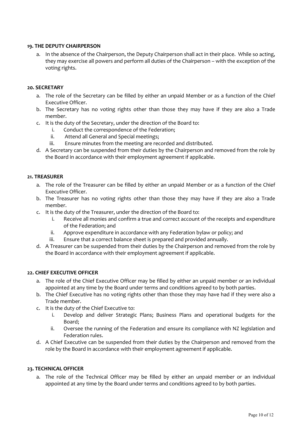# **19. THE DEPUTY CHAIRPERSON**

a. In the absence of the Chairperson, the Deputy Chairperson shall act in their place. While so acting, they may exercise all powers and perform all duties of the Chairperson – with the exception of the voting rights.

#### **20. SECRETARY**

- a. The role of the Secretary can be filled by either an unpaid Member or as a function of the Chief Executive Officer.
- b. The Secretary has no voting rights other than those they may have if they are also a Trade member.
- c. It is the duty of the Secretary, under the direction of the Board to:
	- i. Conduct the correspondence of the Federation;
	- ii. Attend all General and Special meetings;
	- iii. Ensure minutes from the meeting are recorded and distributed.
- d. A Secretary can be suspended from their duties by the Chairperson and removed from the role by the Board in accordance with their employment agreement if applicable.

## **21. TREASURER**

- a. The role of the Treasurer can be filled by either an unpaid Member or as a function of the Chief Executive Officer.
- b. The Treasurer has no voting rights other than those they may have if they are also a Trade member.
- c. It is the duty of the Treasurer, under the direction of the Board to:
	- i. Receive all monies and confirm a true and correct account of the receipts and expenditure of the Federation; and
	- ii. Approve expenditure in accordance with any Federation bylaw or policy; and
	- iii. Ensure that a correct balance sheet is prepared and provided annually.
- d. A Treasurer can be suspended from their duties by the Chairperson and removed from the role by the Board in accordance with their employment agreement if applicable.

#### **22. CHIEF EXECUTIVE OFFICER**

- a. The role of the Chief Executive Officer may be filled by either an unpaid member or an individual appointed at any time by the Board under terms and conditions agreed to by both parties.
- b. The Chief Executive has no voting rights other than those they may have had if they were also a Trade member.
- c. It is the duty of the Chief Executive to:
	- i. Develop and deliver Strategic Plans; Business Plans and operational budgets for the Board;
	- ii. Oversee the running of the Federation and ensure its compliance with NZ legislation and Federation rules.
- d. A Chief Executive can be suspended from their duties by the Chairperson and removed from the role by the Board in accordance with their employment agreement if applicable.

#### **23. TECHNICAL OFFICER**

a. The role of the Technical Officer may be filled by either an unpaid member or an individual appointed at any time by the Board under terms and conditions agreed to by both parties.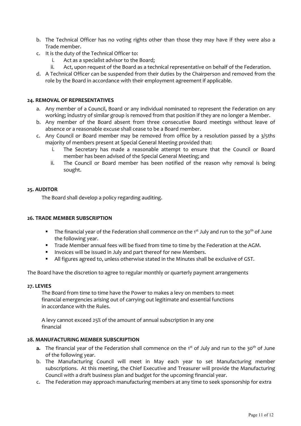- b. The Technical Officer has no voting rights other than those they may have if they were also a Trade member.
- c. It is the duty of the Technical Officer to:
	- i. Act as a specialist advisor to the Board;
	- ii. Act, upon request of the Board as a technical representative on behalf of the Federation.
- d. A Technical Officer can be suspended from their duties by the Chairperson and removed from the role by the Board in accordance with their employment agreement if applicable.

# **24. REMOVAL OF REPRESENTATIVES**

- a. Any member of a Council, Board or any individual nominated to represent the Federation on any working; industry of similar group is removed from that position if they are no longer a Member.
- b. Any member of the Board absent from three consecutive Board meetings without leave of absence or a reasonable excuse shall cease to be a Board member.
- c. Any Council or Board member may be removed from office by a resolution passed by a 3/5ths majority of members present at Special General Meeting provided that:
	- i. The Secretary has made a reasonable attempt to ensure that the Council or Board member has been advised of the Special General Meeting; and
	- ii. The Council or Board member has been notified of the reason why removal is being sought.

#### **25. AUDITOR**

The Board shall develop a policy regarding auditing.

# **26. TRADE MEMBER SUBSCRIPTION**

- The financial year of the Federation shall commence on the  $1^{st}$  July and run to the  $30^{th}$  of June the following year.
- **Trade Member annual fees will be fixed from time to time by the Federation at the AGM.**
- **Invoices will be issued in July and part thereof for new Members.**
- All figures agreed to, unless otherwise stated in the Minutes shall be exclusive of GST.

The Board have the discretion to agree to regular monthly or quarterly payment arrangements

#### **27. LEVIES**

 The Board from time to time have the Power to makes a levy on members to meet financial emergencies arising out of carrying out legitimate and essential functions in accordance with the Rules.

 A levy cannot exceed 25% of the amount of annual subscription in any one financial

#### **28. MANUFACTURING MEMBER SUBSCRIPTION**

- **a.** The financial year of the Federation shall commence on the 1<sup>st</sup> of July and run to the 30<sup>th</sup> of June of the following year.
- b. The Manufacturing Council will meet in May each year to set Manufacturing member subscriptions. At this meeting, the Chief Executive and Treasurer will provide the Manufacturing Council with a draft business plan and budget for the upcoming financial year.
- c. The Federation may approach manufacturing members at any time to seek sponsorship for extra